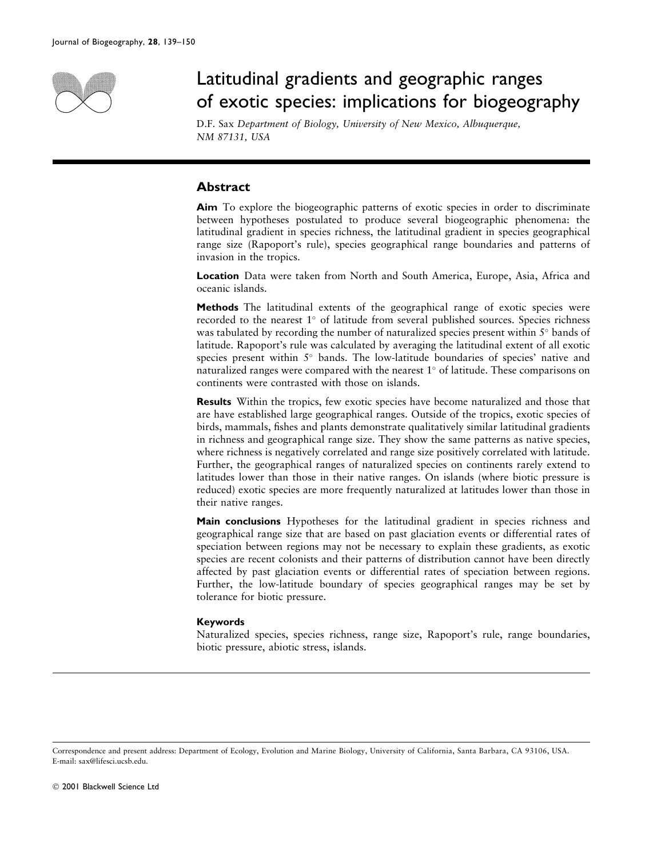

# Latitudinal gradients and geographic ranges of exotic species: implications for biogeography

D.F. Sax Department of Biology, University of New Mexico, Albuquerque, NM 87131, USA

# Abstract

Aim To explore the biogeographic patterns of exotic species in order to discriminate between hypotheses postulated to produce several biogeographic phenomena: the latitudinal gradient in species richness, the latitudinal gradient in species geographical range size (Rapoport's rule), species geographical range boundaries and patterns of invasion in the tropics.

Location Data were taken from North and South America, Europe, Asia, Africa and oceanic islands.

Methods The latitudinal extents of the geographical range of exotic species were recorded to the nearest  $1^{\circ}$  of latitude from several published sources. Species richness was tabulated by recording the number of naturalized species present within  $5^\circ$  bands of latitude. Rapoport's rule was calculated by averaging the latitudinal extent of all exotic species present within  $5^\circ$  bands. The low-latitude boundaries of species' native and naturalized ranges were compared with the nearest  $1^{\circ}$  of latitude. These comparisons on continents were contrasted with those on islands.

Results Within the tropics, few exotic species have become naturalized and those that are have established large geographical ranges. Outside of the tropics, exotic species of birds, mammals, fishes and plants demonstrate qualitatively similar latitudinal gradients in richness and geographical range size. They show the same patterns as native species, where richness is negatively correlated and range size positively correlated with latitude. Further, the geographical ranges of naturalized species on continents rarely extend to latitudes lower than those in their native ranges. On islands (where biotic pressure is reduced) exotic species are more frequently naturalized at latitudes lower than those in their native ranges.

Main conclusions Hypotheses for the latitudinal gradient in species richness and geographical range size that are based on past glaciation events or differential rates of speciation between regions may not be necessary to explain these gradients, as exotic species are recent colonists and their patterns of distribution cannot have been directly affected by past glaciation events or differential rates of speciation between regions. Further, the low-latitude boundary of species geographical ranges may be set by tolerance for biotic pressure.

## Keywords

Naturalized species, species richness, range size, Rapoport's rule, range boundaries, biotic pressure, abiotic stress, islands.

Correspondence and present address: Department of Ecology, Evolution and Marine Biology, University of California, Santa Barbara, CA 93106, USA. E-mail: sax@lifesci.ucsb.edu.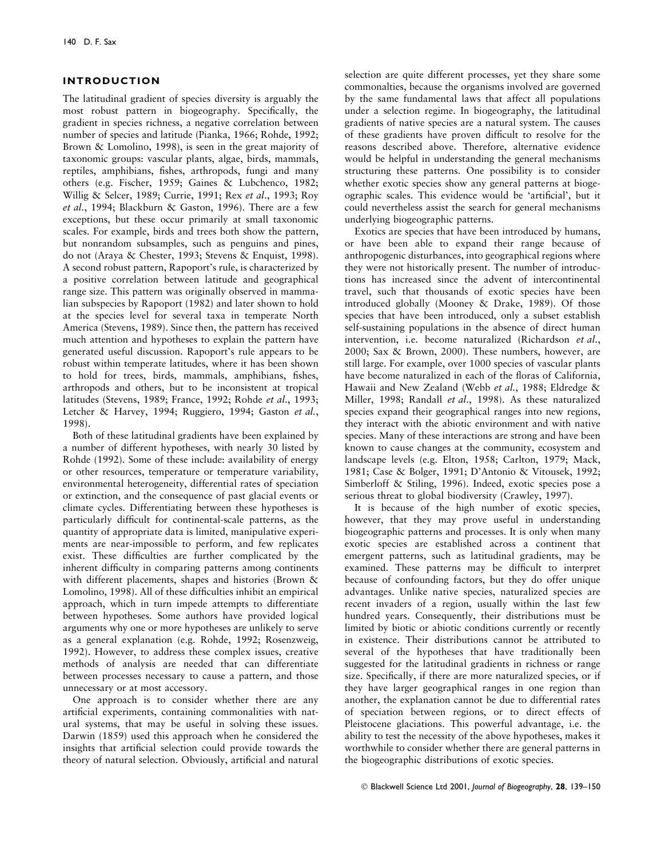## INTRODUCTION

The latitudinal gradient of species diversity is arguably the most robust pattern in biogeography. Specifically, the gradient in species richness, a negative correlation between number of species and latitude (Pianka, 1966; Rohde, 1992; Brown & Lomolino, 1998), is seen in the great majority of taxonomic groups: vascular plants, algae, birds, mammals, reptiles, amphibians, fishes, arthropods, fungi and many others (e.g. Fischer, 1959; Gaines & Lubchenco, 1982; Willig & Selcer, 1989; Currie, 1991; Rex et al., 1993; Roy et al., 1994; Blackburn & Gaston, 1996). There are a few exceptions, but these occur primarily at small taxonomic scales. For example, birds and trees both show the pattern, but nonrandom subsamples, such as penguins and pines, do not (Araya & Chester, 1993; Stevens & Enquist, 1998). A second robust pattern, Rapoport's rule, is characterized by a positive correlation between latitude and geographical range size. This pattern was originally observed in mammalian subspecies by Rapoport (1982) and later shown to hold at the species level for several taxa in temperate North America (Stevens, 1989). Since then, the pattern has received much attention and hypotheses to explain the pattern have generated useful discussion. Rapoport's rule appears to be robust within temperate latitudes, where it has been shown to hold for trees, birds, mammals, amphibians, fishes, arthropods and others, but to be inconsistent at tropical latitudes (Stevens, 1989; France, 1992; Rohde et al., 1993; Letcher & Harvey, 1994; Ruggiero, 1994; Gaston et al., 1998).

Both of these latitudinal gradients have been explained by a number of different hypotheses, with nearly 30 listed by Rohde (1992). Some of these include: availability of energy or other resources, temperature or temperature variability, environmental heterogeneity, differential rates of speciation or extinction, and the consequence of past glacial events or climate cycles. Differentiating between these hypotheses is particularly difficult for continental-scale patterns, as the quantity of appropriate data is limited, manipulative experiments are near-impossible to perform, and few replicates exist. These difficulties are further complicated by the inherent difficulty in comparing patterns among continents with different placements, shapes and histories (Brown & Lomolino, 1998). All of these difficulties inhibit an empirical approach, which in turn impede attempts to differentiate between hypotheses. Some authors have provided logical arguments why one or more hypotheses are unlikely to serve as a general explanation (e.g. Rohde, 1992; Rosenzweig, 1992). However, to address these complex issues, creative methods of analysis are needed that can differentiate between processes necessary to cause a pattern, and those unnecessary or at most accessory.

One approach is to consider whether there are any artificial experiments, containing commonalities with natural systems, that may be useful in solving these issues. Darwin (1859) used this approach when he considered the insights that artificial selection could provide towards the theory of natural selection. Obviously, artificial and natural

selection are quite different processes, yet they share some commonalties, because the organisms involved are governed by the same fundamental laws that affect all populations under a selection regime. In biogeography, the latitudinal gradients of native species are a natural system. The causes of these gradients have proven difficult to resolve for the reasons described above. Therefore, alternative evidence would be helpful in understanding the general mechanisms structuring these patterns. One possibility is to consider whether exotic species show any general patterns at biogeographic scales. This evidence would be 'artificial', but it could nevertheless assist the search for general mechanisms underlying biogeographic patterns.

Exotics are species that have been introduced by humans, or have been able to expand their range because of anthropogenic disturbances, into geographical regions where they were not historically present. The number of introductions has increased since the advent of intercontinental travel, such that thousands of exotic species have been introduced globally (Mooney & Drake, 1989). Of those species that have been introduced, only a subset establish self-sustaining populations in the absence of direct human intervention, i.e. become naturalized (Richardson et al., 2000; Sax & Brown, 2000). These numbers, however, are still large. For example, over 1000 species of vascular plants have become naturalized in each of the floras of California, Hawaii and New Zealand (Webb et al., 1988; Eldredge & Miller, 1998; Randall et al., 1998). As these naturalized species expand their geographical ranges into new regions, they interact with the abiotic environment and with native species. Many of these interactions are strong and have been known to cause changes at the community, ecosystem and landscape levels (e.g. Elton, 1958; Carlton, 1979; Mack, 1981; Case & Bolger, 1991; D'Antonio & Vitousek, 1992; Simberloff & Stiling, 1996). Indeed, exotic species pose a serious threat to global biodiversity (Crawley, 1997).

It is because of the high number of exotic species, however, that they may prove useful in understanding biogeographic patterns and processes. It is only when many exotic species are established across a continent that emergent patterns, such as latitudinal gradients, may be examined. These patterns may be difficult to interpret because of confounding factors, but they do offer unique advantages. Unlike native species, naturalized species are recent invaders of a region, usually within the last few hundred years. Consequently, their distributions must be limited by biotic or abiotic conditions currently or recently in existence. Their distributions cannot be attributed to several of the hypotheses that have traditionally been suggested for the latitudinal gradients in richness or range size. Specifically, if there are more naturalized species, or if they have larger geographical ranges in one region than another, the explanation cannot be due to differential rates of speciation between regions, or to direct effects of Pleistocene glaciations. This powerful advantage, i.e. the ability to test the necessity of the above hypotheses, makes it worthwhile to consider whether there are general patterns in the biogeographic distributions of exotic species.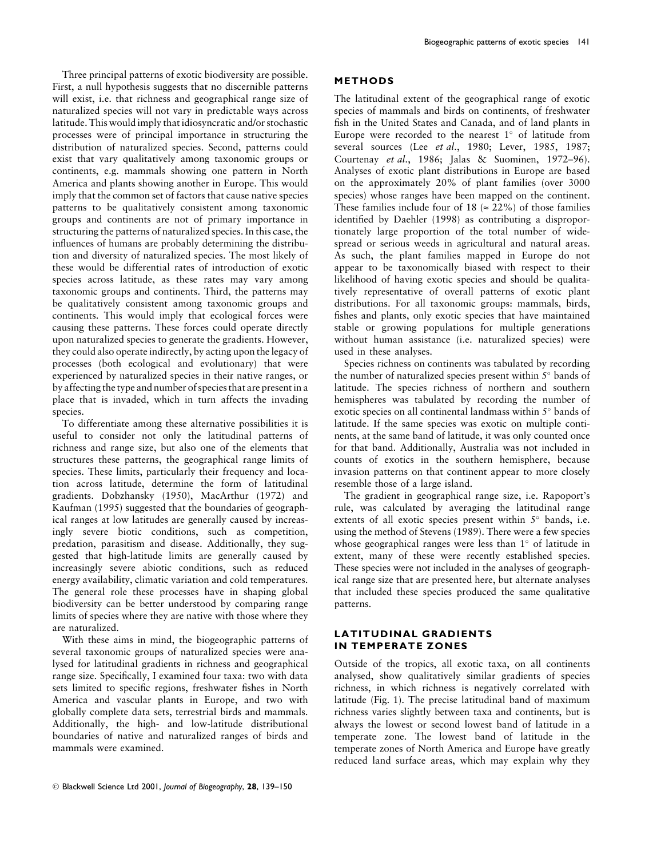Three principal patterns of exotic biodiversity are possible. First, a null hypothesis suggests that no discernible patterns will exist, i.e. that richness and geographical range size of naturalized species will not vary in predictable ways across latitude. This would imply that idiosyncratic and/or stochastic processes were of principal importance in structuring the distribution of naturalized species. Second, patterns could exist that vary qualitatively among taxonomic groups or continents, e.g. mammals showing one pattern in North America and plants showing another in Europe. This would imply that the common set of factors that cause native species patterns to be qualitatively consistent among taxonomic groups and continents are not of primary importance in structuring the patterns of naturalized species. In this case, the influences of humans are probably determining the distribution and diversity of naturalized species. The most likely of these would be differential rates of introduction of exotic species across latitude, as these rates may vary among taxonomic groups and continents. Third, the patterns may be qualitatively consistent among taxonomic groups and continents. This would imply that ecological forces were causing these patterns. These forces could operate directly upon naturalized species to generate the gradients. However, they could also operate indirectly, by acting upon the legacy of processes (both ecological and evolutionary) that were experienced by naturalized species in their native ranges, or by affecting the type and number of species that are present in a place that is invaded, which in turn affects the invading species.

To differentiate among these alternative possibilities it is useful to consider not only the latitudinal patterns of richness and range size, but also one of the elements that structures these patterns, the geographical range limits of species. These limits, particularly their frequency and location across latitude, determine the form of latitudinal gradients. Dobzhansky (1950), MacArthur (1972) and Kaufman (1995) suggested that the boundaries of geographical ranges at low latitudes are generally caused by increasingly severe biotic conditions, such as competition, predation, parasitism and disease. Additionally, they suggested that high-latitude limits are generally caused by increasingly severe abiotic conditions, such as reduced energy availability, climatic variation and cold temperatures. The general role these processes have in shaping global biodiversity can be better understood by comparing range limits of species where they are native with those where they are naturalized.

With these aims in mind, the biogeographic patterns of several taxonomic groups of naturalized species were analysed for latitudinal gradients in richness and geographical range size. Specifically, I examined four taxa: two with data sets limited to specific regions, freshwater fishes in North America and vascular plants in Europe, and two with globally complete data sets, terrestrial birds and mammals. Additionally, the high- and low-latitude distributional boundaries of native and naturalized ranges of birds and mammals were examined.

#### METHODS

The latitudinal extent of the geographical range of exotic species of mammals and birds on continents, of freshwater fish in the United States and Canada, and of land plants in Europe were recorded to the nearest  $1^\circ$  of latitude from several sources (Lee et al., 1980; Lever, 1985, 1987; Courtenay et al., 1986; Jalas & Suominen, 1972-96). Analyses of exotic plant distributions in Europe are based on the approximately 20% of plant families (over 3000 species) whose ranges have been mapped on the continent. These families include four of 18 ( $\approx$  22%) of those families identified by Daehler (1998) as contributing a disproportionately large proportion of the total number of widespread or serious weeds in agricultural and natural areas. As such, the plant families mapped in Europe do not appear to be taxonomically biased with respect to their likelihood of having exotic species and should be qualitatively representative of overall patterns of exotic plant distributions. For all taxonomic groups: mammals, birds, fishes and plants, only exotic species that have maintained stable or growing populations for multiple generations without human assistance (i.e. naturalized species) were used in these analyses.

Species richness on continents was tabulated by recording the number of naturalized species present within  $5^\circ$  bands of latitude. The species richness of northern and southern hemispheres was tabulated by recording the number of exotic species on all continental landmass within  $5^\circ$  bands of latitude. If the same species was exotic on multiple continents, at the same band of latitude, it was only counted once for that band. Additionally, Australia was not included in counts of exotics in the southern hemisphere, because invasion patterns on that continent appear to more closely resemble those of a large island.

The gradient in geographical range size, i.e. Rapoport's rule, was calculated by averaging the latitudinal range extents of all exotic species present within  $5^\circ$  bands, i.e. using the method of Stevens (1989). There were a few species whose geographical ranges were less than  $1^{\circ}$  of latitude in extent, many of these were recently established species. These species were not included in the analyses of geographical range size that are presented here, but alternate analyses that included these species produced the same qualitative patterns.

## LATITUDINAL GRADIENTS IN TEMPERATE ZONES

Outside of the tropics, all exotic taxa, on all continents analysed, show qualitatively similar gradients of species richness, in which richness is negatively correlated with latitude (Fig. 1). The precise latitudinal band of maximum richness varies slightly between taxa and continents, but is always the lowest or second lowest band of latitude in a temperate zone. The lowest band of latitude in the temperate zones of North America and Europe have greatly reduced land surface areas, which may explain why they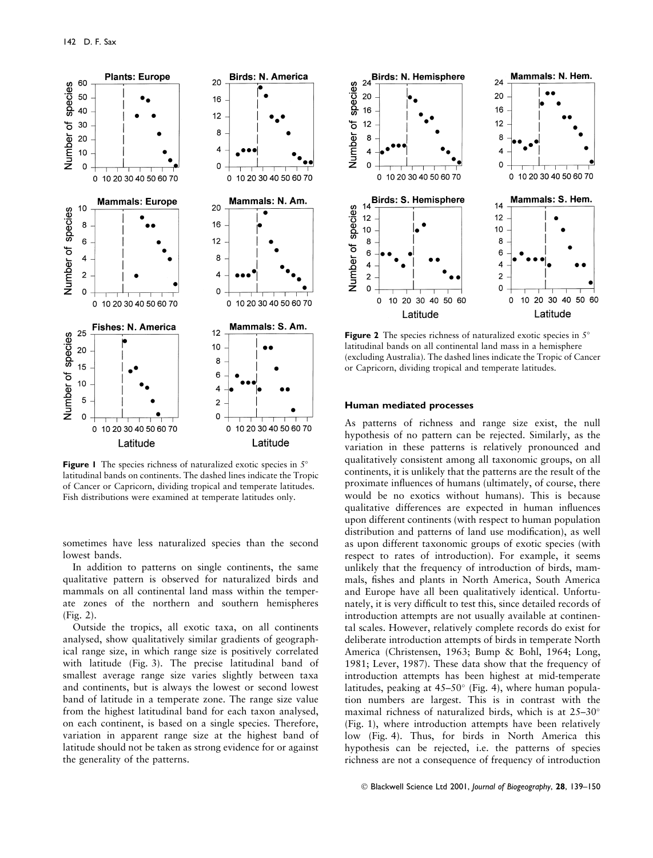

**Figure 1** The species richness of naturalized exotic species in  $5^\circ$ latitudinal bands on continents. The dashed lines indicate the Tropic of Cancer or Capricorn, dividing tropical and temperate latitudes. Fish distributions were examined at temperate latitudes only.

sometimes have less naturalized species than the second lowest bands.

In addition to patterns on single continents, the same qualitative pattern is observed for naturalized birds and mammals on all continental land mass within the temperate zones of the northern and southern hemispheres (Fig. 2).

Outside the tropics, all exotic taxa, on all continents analysed, show qualitatively similar gradients of geographical range size, in which range size is positively correlated with latitude (Fig. 3). The precise latitudinal band of smallest average range size varies slightly between taxa and continents, but is always the lowest or second lowest band of latitude in a temperate zone. The range size value from the highest latitudinal band for each taxon analysed, on each continent, is based on a single species. Therefore, variation in apparent range size at the highest band of latitude should not be taken as strong evidence for or against the generality of the patterns.



**Figure 2** The species richness of naturalized exotic species in  $5^\circ$ latitudinal bands on all continental land mass in a hemisphere (excluding Australia). The dashed lines indicate the Tropic of Cancer or Capricorn, dividing tropical and temperate latitudes.

#### Human mediated processes

As patterns of richness and range size exist, the null hypothesis of no pattern can be rejected. Similarly, as the variation in these patterns is relatively pronounced and qualitatively consistent among all taxonomic groups, on all continents, it is unlikely that the patterns are the result of the proximate influences of humans (ultimately, of course, there would be no exotics without humans). This is because qualitative differences are expected in human influences upon different continents (with respect to human population distribution and patterns of land use modification), as well as upon different taxonomic groups of exotic species (with respect to rates of introduction). For example, it seems unlikely that the frequency of introduction of birds, mammals, fishes and plants in North America, South America and Europe have all been qualitatively identical. Unfortunately, it is very difficult to test this, since detailed records of introduction attempts are not usually available at continental scales. However, relatively complete records do exist for deliberate introduction attempts of birds in temperate North America (Christensen, 1963; Bump & Bohl, 1964; Long, 1981; Lever, 1987). These data show that the frequency of introduction attempts has been highest at mid-temperate latitudes, peaking at  $45-50^\circ$  (Fig. 4), where human population numbers are largest. This is in contrast with the maximal richness of naturalized birds, which is at  $25-30^\circ$ (Fig. 1), where introduction attempts have been relatively low (Fig. 4). Thus, for birds in North America this hypothesis can be rejected, i.e. the patterns of species richness are not a consequence of frequency of introduction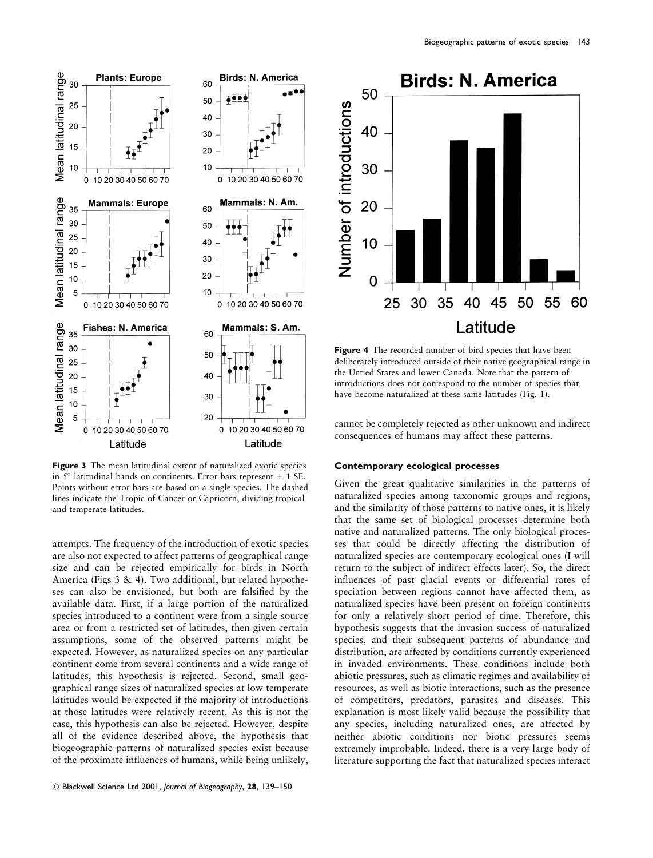

Figure 3 The mean latitudinal extent of naturalized exotic species in  $5^\circ$  latitudinal bands on continents. Error bars represent  $\pm$  1 SE. Points without error bars are based on a single species. The dashed lines indicate the Tropic of Cancer or Capricorn, dividing tropical and temperate latitudes.

attempts. The frequency of the introduction of exotic species are also not expected to affect patterns of geographical range size and can be rejected empirically for birds in North America (Figs 3 & 4). Two additional, but related hypotheses can also be envisioned, but both are falsified by the available data. First, if a large portion of the naturalized species introduced to a continent were from a single source area or from a restricted set of latitudes, then given certain assumptions, some of the observed patterns might be expected. However, as naturalized species on any particular continent come from several continents and a wide range of latitudes, this hypothesis is rejected. Second, small geographical range sizes of naturalized species at low temperate latitudes would be expected if the majority of introductions at those latitudes were relatively recent. As this is not the case, this hypothesis can also be rejected. However, despite all of the evidence described above, the hypothesis that biogeographic patterns of naturalized species exist because of the proximate influences of humans, while being unlikely,



Figure 4 The recorded number of bird species that have been deliberately introduced outside of their native geographical range in the Untied States and lower Canada. Note that the pattern of introductions does not correspond to the number of species that have become naturalized at these same latitudes (Fig. 1).

cannot be completely rejected as other unknown and indirect consequences of humans may affect these patterns.

#### Contemporary ecological processes

Given the great qualitative similarities in the patterns of naturalized species among taxonomic groups and regions, and the similarity of those patterns to native ones, it is likely that the same set of biological processes determine both native and naturalized patterns. The only biological processes that could be directly affecting the distribution of naturalized species are contemporary ecological ones (I will return to the subject of indirect effects later). So, the direct influences of past glacial events or differential rates of speciation between regions cannot have affected them, as naturalized species have been present on foreign continents for only a relatively short period of time. Therefore, this hypothesis suggests that the invasion success of naturalized species, and their subsequent patterns of abundance and distribution, are affected by conditions currently experienced in invaded environments. These conditions include both abiotic pressures, such as climatic regimes and availability of resources, as well as biotic interactions, such as the presence of competitors, predators, parasites and diseases. This explanation is most likely valid because the possibility that any species, including naturalized ones, are affected by neither abiotic conditions nor biotic pressures seems extremely improbable. Indeed, there is a very large body of literature supporting the fact that naturalized species interact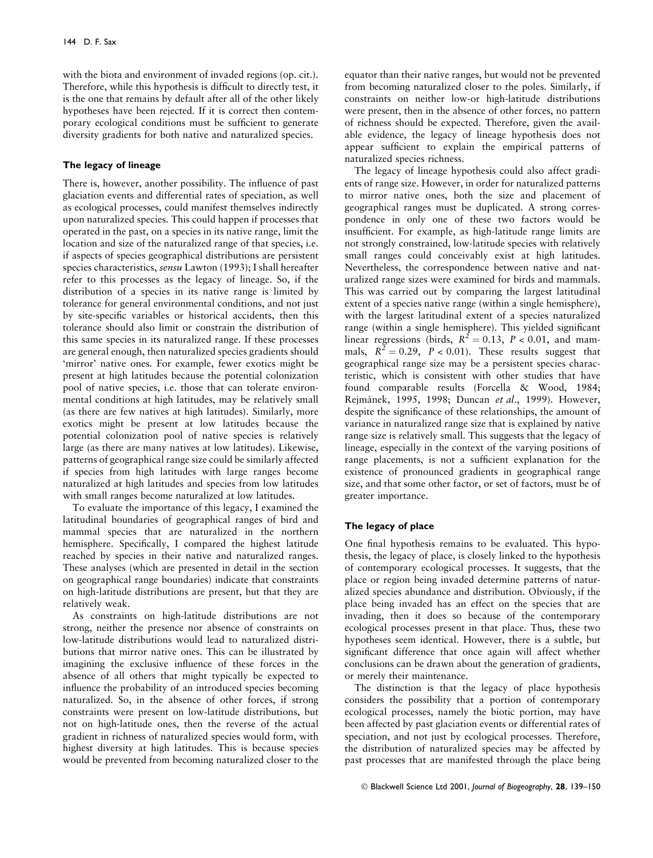with the biota and environment of invaded regions (op. cit.). Therefore, while this hypothesis is difficult to directly test, it is the one that remains by default after all of the other likely hypotheses have been rejected. If it is correct then contemporary ecological conditions must be sufficient to generate diversity gradients for both native and naturalized species.

#### The legacy of lineage

There is, however, another possibility. The influence of past glaciation events and differential rates of speciation, as well as ecological processes, could manifest themselves indirectly upon naturalized species. This could happen if processes that operated in the past, on a species in its native range, limit the location and size of the naturalized range of that species, i.e. if aspects of species geographical distributions are persistent species characteristics, sensu Lawton (1993); I shall hereafter refer to this processes as the legacy of lineage. So, if the distribution of a species in its native range is limited by tolerance for general environmental conditions, and not just by site-specific variables or historical accidents, then this tolerance should also limit or constrain the distribution of this same species in its naturalized range. If these processes are general enough, then naturalized species gradients should `mirror' native ones. For example, fewer exotics might be present at high latitudes because the potential colonization pool of native species, i.e. those that can tolerate environmental conditions at high latitudes, may be relatively small (as there are few natives at high latitudes). Similarly, more exotics might be present at low latitudes because the potential colonization pool of native species is relatively large (as there are many natives at low latitudes). Likewise, patterns of geographical range size could be similarly affected if species from high latitudes with large ranges become naturalized at high latitudes and species from low latitudes with small ranges become naturalized at low latitudes.

To evaluate the importance of this legacy, I examined the latitudinal boundaries of geographical ranges of bird and mammal species that are naturalized in the northern hemisphere. Specifically, I compared the highest latitude reached by species in their native and naturalized ranges. These analyses (which are presented in detail in the section on geographical range boundaries) indicate that constraints on high-latitude distributions are present, but that they are relatively weak.

As constraints on high-latitude distributions are not strong, neither the presence nor absence of constraints on low-latitude distributions would lead to naturalized distributions that mirror native ones. This can be illustrated by imagining the exclusive influence of these forces in the absence of all others that might typically be expected to influence the probability of an introduced species becoming naturalized. So, in the absence of other forces, if strong constraints were present on low-latitude distributions, but not on high-latitude ones, then the reverse of the actual gradient in richness of naturalized species would form, with highest diversity at high latitudes. This is because species would be prevented from becoming naturalized closer to the equator than their native ranges, but would not be prevented from becoming naturalized closer to the poles. Similarly, if constraints on neither low-or high-latitude distributions were present, then in the absence of other forces, no pattern of richness should be expected. Therefore, given the available evidence, the legacy of lineage hypothesis does not appear sufficient to explain the empirical patterns of naturalized species richness.

The legacy of lineage hypothesis could also affect gradients of range size. However, in order for naturalized patterns to mirror native ones, both the size and placement of geographical ranges must be duplicated. A strong correspondence in only one of these two factors would be insufficient. For example, as high-latitude range limits are not strongly constrained, low-latitude species with relatively small ranges could conceivably exist at high latitudes. Nevertheless, the correspondence between native and naturalized range sizes were examined for birds and mammals. This was carried out by comparing the largest latitudinal extent of a species native range (within a single hemisphere), with the largest latitudinal extent of a species naturalized range (within a single hemisphere). This yielded significant linear regressions (birds,  $R^2 = 0.13$ ,  $P < 0.01$ , and mammals,  $R^2 = 0.29$ ,  $P < 0.01$ ). These results suggest that geographical range size may be a persistent species characteristic, which is consistent with other studies that have found comparable results (Forcella & Wood, 1984; Rejmánek, 1995, 1998; Duncan et al., 1999). However, despite the significance of these relationships, the amount of variance in naturalized range size that is explained by native range size is relatively small. This suggests that the legacy of lineage, especially in the context of the varying positions of range placements, is not a sufficient explanation for the existence of pronounced gradients in geographical range size, and that some other factor, or set of factors, must be of greater importance.

#### The legacy of place

One final hypothesis remains to be evaluated. This hypothesis, the legacy of place, is closely linked to the hypothesis of contemporary ecological processes. It suggests, that the place or region being invaded determine patterns of naturalized species abundance and distribution. Obviously, if the place being invaded has an effect on the species that are invading, then it does so because of the contemporary ecological processes present in that place. Thus, these two hypotheses seem identical. However, there is a subtle, but significant difference that once again will affect whether conclusions can be drawn about the generation of gradients, or merely their maintenance.

The distinction is that the legacy of place hypothesis considers the possibility that a portion of contemporary ecological processes, namely the biotic portion, may have been affected by past glaciation events or differential rates of speciation, and not just by ecological processes. Therefore, the distribution of naturalized species may be affected by past processes that are manifested through the place being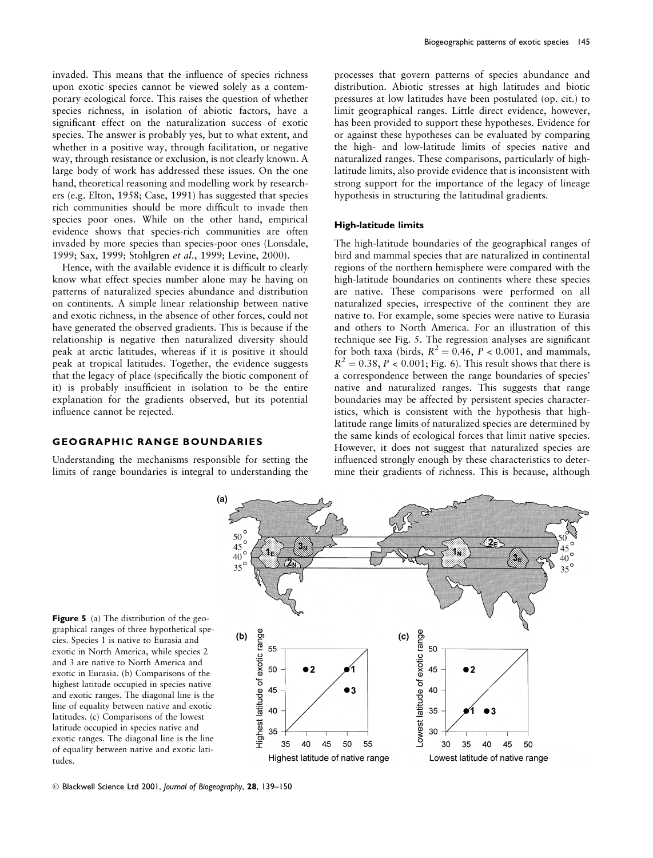invaded. This means that the influence of species richness upon exotic species cannot be viewed solely as a contemporary ecological force. This raises the question of whether species richness, in isolation of abiotic factors, have a significant effect on the naturalization success of exotic species. The answer is probably yes, but to what extent, and whether in a positive way, through facilitation, or negative way, through resistance or exclusion, is not clearly known. A large body of work has addressed these issues. On the one hand, theoretical reasoning and modelling work by researchers (e.g. Elton, 1958; Case, 1991) has suggested that species rich communities should be more difficult to invade then species poor ones. While on the other hand, empirical evidence shows that species-rich communities are often invaded by more species than species-poor ones (Lonsdale, 1999; Sax, 1999; Stohlgren et al., 1999; Levine, 2000).

Hence, with the available evidence it is difficult to clearly know what effect species number alone may be having on patterns of naturalized species abundance and distribution on continents. A simple linear relationship between native and exotic richness, in the absence of other forces, could not have generated the observed gradients. This is because if the relationship is negative then naturalized diversity should peak at arctic latitudes, whereas if it is positive it should peak at tropical latitudes. Together, the evidence suggests that the legacy of place (specifically the biotic component of it) is probably insufficient in isolation to be the entire explanation for the gradients observed, but its potential influence cannot be rejected.

### GEOGRAPHIC RANGE BOUNDARIES

Understanding the mechanisms responsible for setting the limits of range boundaries is integral to understanding the

processes that govern patterns of species abundance and distribution. Abiotic stresses at high latitudes and biotic pressures at low latitudes have been postulated (op. cit.) to limit geographical ranges. Little direct evidence, however, has been provided to support these hypotheses. Evidence for or against these hypotheses can be evaluated by comparing the high- and low-latitude limits of species native and naturalized ranges. These comparisons, particularly of highlatitude limits, also provide evidence that is inconsistent with strong support for the importance of the legacy of lineage hypothesis in structuring the latitudinal gradients.

## High-latitude limits

The high-latitude boundaries of the geographical ranges of bird and mammal species that are naturalized in continental regions of the northern hemisphere were compared with the high-latitude boundaries on continents where these species are native. These comparisons were performed on all naturalized species, irrespective of the continent they are native to. For example, some species were native to Eurasia and others to North America. For an illustration of this technique see Fig. 5. The regression analyses are significant for both taxa (birds,  $R^2 = 0.46$ ,  $P < 0.001$ , and mammals,  $R^2 = 0.38$ ,  $P < 0.001$ ; Fig. 6). This result shows that there is a correspondence between the range boundaries of species' native and naturalized ranges. This suggests that range boundaries may be affected by persistent species characteristics, which is consistent with the hypothesis that highlatitude range limits of naturalized species are determined by the same kinds of ecological forces that limit native species. However, it does not suggest that naturalized species are influenced strongly enough by these characteristics to determine their gradients of richness. This is because, although



**Figure 5** (a) The distribution of the geographical ranges of three hypothetical species. Species 1 is native to Eurasia and exotic in North America, while species 2 and 3 are native to North America and exotic in Eurasia. (b) Comparisons of the highest latitude occupied in species native and exotic ranges. The diagonal line is the line of equality between native and exotic latitudes. (c) Comparisons of the lowest latitude occupied in species native and exotic ranges. The diagonal line is the line of equality between native and exotic latitudes.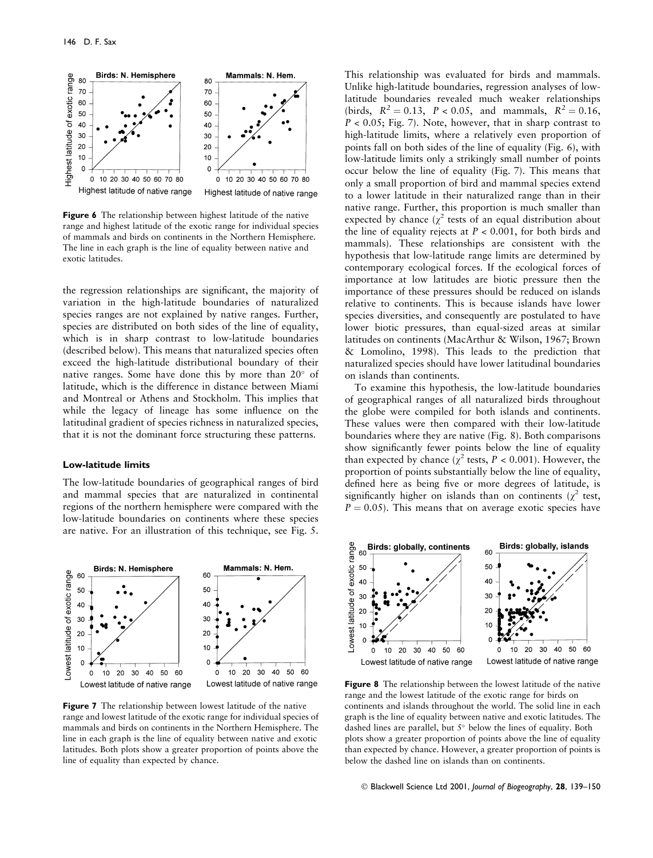

Figure 6 The relationship between highest latitude of the native range and highest latitude of the exotic range for individual species of mammals and birds on continents in the Northern Hemisphere. The line in each graph is the line of equality between native and exotic latitudes.

the regression relationships are significant, the majority of variation in the high-latitude boundaries of naturalized species ranges are not explained by native ranges. Further, species are distributed on both sides of the line of equality, which is in sharp contrast to low-latitude boundaries (described below). This means that naturalized species often exceed the high-latitude distributional boundary of their native ranges. Some have done this by more than  $20^{\circ}$  of latitude, which is the difference in distance between Miami and Montreal or Athens and Stockholm. This implies that while the legacy of lineage has some influence on the latitudinal gradient of species richness in naturalized species, that it is not the dominant force structuring these patterns.

#### Low-latitude limits

The low-latitude boundaries of geographical ranges of bird and mammal species that are naturalized in continental regions of the northern hemisphere were compared with the low-latitude boundaries on continents where these species are native. For an illustration of this technique, see Fig. 5.



Figure 7 The relationship between lowest latitude of the native range and lowest latitude of the exotic range for individual species of mammals and birds on continents in the Northern Hemisphere. The line in each graph is the line of equality between native and exotic latitudes. Both plots show a greater proportion of points above the line of equality than expected by chance.

This relationship was evaluated for birds and mammals. Unlike high-latitude boundaries, regression analyses of lowlatitude boundaries revealed much weaker relationships (birds,  $R^2 = 0.13$ ,  $P < 0.05$ , and mammals,  $R^2 = 0.16$ ,  $P < 0.05$ ; Fig. 7). Note, however, that in sharp contrast to high-latitude limits, where a relatively even proportion of points fall on both sides of the line of equality (Fig. 6), with low-latitude limits only a strikingly small number of points occur below the line of equality (Fig. 7). This means that only a small proportion of bird and mammal species extend to a lower latitude in their naturalized range than in their native range. Further, this proportion is much smaller than expected by chance ( $\chi^2$  tests of an equal distribution about the line of equality rejects at  $P < 0.001$ , for both birds and mammals). These relationships are consistent with the hypothesis that low-latitude range limits are determined by contemporary ecological forces. If the ecological forces of importance at low latitudes are biotic pressure then the importance of these pressures should be reduced on islands relative to continents. This is because islands have lower species diversities, and consequently are postulated to have lower biotic pressures, than equal-sized areas at similar latitudes on continents (MacArthur & Wilson, 1967; Brown & Lomolino, 1998). This leads to the prediction that naturalized species should have lower latitudinal boundaries on islands than continents.

To examine this hypothesis, the low-latitude boundaries of geographical ranges of all naturalized birds throughout the globe were compiled for both islands and continents. These values were then compared with their low-latitude boundaries where they are native (Fig. 8). Both comparisons show significantly fewer points below the line of equality than expected by chance ( $\chi^2$  tests,  $P < 0.001$ ). However, the proportion of points substantially below the line of equality, defined here as being five or more degrees of latitude, is significantly higher on islands than on continents ( $\chi^2$  test,  $P = 0.05$ ). This means that on average exotic species have



Figure 8 The relationship between the lowest latitude of the native range and the lowest latitude of the exotic range for birds on continents and islands throughout the world. The solid line in each graph is the line of equality between native and exotic latitudes. The dashed lines are parallel, but  $5^\circ$  below the lines of equality. Both plots show a greater proportion of points above the line of equality than expected by chance. However, a greater proportion of points is below the dashed line on islands than on continents.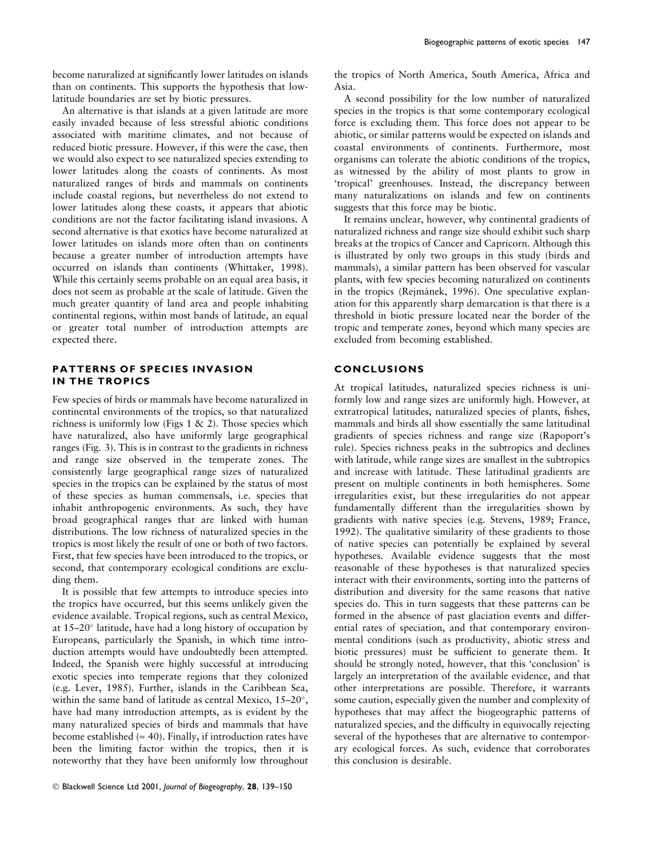become naturalized at significantly lower latitudes on islands than on continents. This supports the hypothesis that lowlatitude boundaries are set by biotic pressures.

An alternative is that islands at a given latitude are more easily invaded because of less stressful abiotic conditions associated with maritime climates, and not because of reduced biotic pressure. However, if this were the case, then we would also expect to see naturalized species extending to lower latitudes along the coasts of continents. As most naturalized ranges of birds and mammals on continents include coastal regions, but nevertheless do not extend to lower latitudes along these coasts, it appears that abiotic conditions are not the factor facilitating island invasions. A second alternative is that exotics have become naturalized at lower latitudes on islands more often than on continents because a greater number of introduction attempts have occurred on islands than continents (Whittaker, 1998). While this certainly seems probable on an equal area basis, it does not seem as probable at the scale of latitude. Given the much greater quantity of land area and people inhabiting continental regions, within most bands of latitude, an equal or greater total number of introduction attempts are expected there.

## PATTERNS OF SPECIES INVASION IN THE TROPICS

Few species of birds or mammals have become naturalized in continental environments of the tropics, so that naturalized richness is uniformly low (Figs 1 & 2). Those species which have naturalized, also have uniformly large geographical ranges (Fig. 3). This is in contrast to the gradients in richness and range size observed in the temperate zones. The consistently large geographical range sizes of naturalized species in the tropics can be explained by the status of most of these species as human commensals, i.e. species that inhabit anthropogenic environments. As such, they have broad geographical ranges that are linked with human distributions. The low richness of naturalized species in the tropics is most likely the result of one or both of two factors. First, that few species have been introduced to the tropics, or second, that contemporary ecological conditions are excluding them.

It is possible that few attempts to introduce species into the tropics have occurred, but this seems unlikely given the evidence available. Tropical regions, such as central Mexico, at 15-20° latitude, have had a long history of occupation by Europeans, particularly the Spanish, in which time introduction attempts would have undoubtedly been attempted. Indeed, the Spanish were highly successful at introducing exotic species into temperate regions that they colonized (e.g. Lever, 1985). Further, islands in the Caribbean Sea, within the same band of latitude as central Mexico,  $15-20^\circ$ , have had many introduction attempts, as is evident by the many naturalized species of birds and mammals that have become established ( $\approx$  40). Finally, if introduction rates have been the limiting factor within the tropics, then it is noteworthy that they have been uniformly low throughout

the tropics of North America, South America, Africa and Asia.

A second possibility for the low number of naturalized species in the tropics is that some contemporary ecological force is excluding them. This force does not appear to be abiotic, or similar patterns would be expected on islands and coastal environments of continents. Furthermore, most organisms can tolerate the abiotic conditions of the tropics, as witnessed by the ability of most plants to grow in `tropical' greenhouses. Instead, the discrepancy between many naturalizations on islands and few on continents suggests that this force may be biotic.

It remains unclear, however, why continental gradients of naturalized richness and range size should exhibit such sharp breaks at the tropics of Cancer and Capricorn. Although this is illustrated by only two groups in this study (birds and mammals), a similar pattern has been observed for vascular plants, with few species becoming naturalized on continents in the tropics (Rejmánek, 1996). One speculative explanation for this apparently sharp demarcation is that there is a threshold in biotic pressure located near the border of the tropic and temperate zones, beyond which many species are excluded from becoming established.

## **CONCLUSIONS**

At tropical latitudes, naturalized species richness is uniformly low and range sizes are uniformly high. However, at extratropical latitudes, naturalized species of plants, fishes, mammals and birds all show essentially the same latitudinal gradients of species richness and range size (Rapoport's rule). Species richness peaks in the subtropics and declines with latitude, while range sizes are smallest in the subtropics and increase with latitude. These latitudinal gradients are present on multiple continents in both hemispheres. Some irregularities exist, but these irregularities do not appear fundamentally different than the irregularities shown by gradients with native species (e.g. Stevens, 1989; France, 1992). The qualitative similarity of these gradients to those of native species can potentially be explained by several hypotheses. Available evidence suggests that the most reasonable of these hypotheses is that naturalized species interact with their environments, sorting into the patterns of distribution and diversity for the same reasons that native species do. This in turn suggests that these patterns can be formed in the absence of past glaciation events and differential rates of speciation, and that contemporary environmental conditions (such as productivity, abiotic stress and biotic pressures) must be sufficient to generate them. It should be strongly noted, however, that this 'conclusion' is largely an interpretation of the available evidence, and that other interpretations are possible. Therefore, it warrants some caution, especially given the number and complexity of hypotheses that may affect the biogeographic patterns of naturalized species, and the difficulty in equivocally rejecting several of the hypotheses that are alternative to contemporary ecological forces. As such, evidence that corroborates this conclusion is desirable.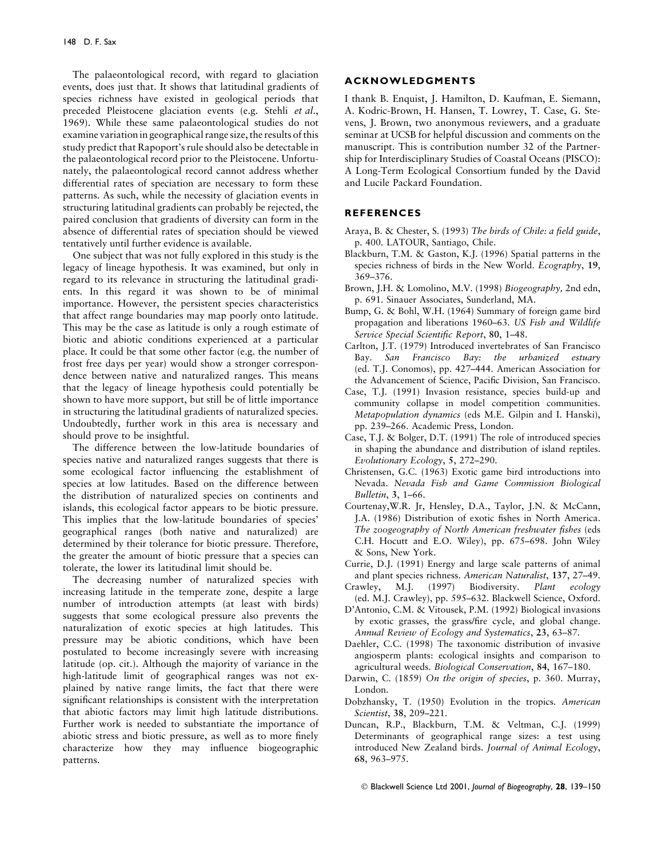The palaeontological record, with regard to glaciation events, does just that. It shows that latitudinal gradients of species richness have existed in geological periods that preceded Pleistocene glaciation events (e.g. Stehli et al., 1969). While these same palaeontological studies do not examine variation in geographical range size, the results of this study predict that Rapoport's rule should also be detectable in the palaeontological record prior to the Pleistocene. Unfortunately, the palaeontological record cannot address whether differential rates of speciation are necessary to form these patterns. As such, while the necessity of glaciation events in structuring latitudinal gradients can probably be rejected, the paired conclusion that gradients of diversity can form in the absence of differential rates of speciation should be viewed tentatively until further evidence is available.

One subject that was not fully explored in this study is the legacy of lineage hypothesis. It was examined, but only in regard to its relevance in structuring the latitudinal gradients. In this regard it was shown to be of minimal importance. However, the persistent species characteristics that affect range boundaries may map poorly onto latitude. This may be the case as latitude is only a rough estimate of biotic and abiotic conditions experienced at a particular place. It could be that some other factor (e.g. the number of frost free days per year) would show a stronger correspondence between native and naturalized ranges. This means that the legacy of lineage hypothesis could potentially be shown to have more support, but still be of little importance in structuring the latitudinal gradients of naturalized species. Undoubtedly, further work in this area is necessary and should prove to be insightful.

The difference between the low-latitude boundaries of species native and naturalized ranges suggests that there is some ecological factor influencing the establishment of species at low latitudes. Based on the difference between the distribution of naturalized species on continents and islands, this ecological factor appears to be biotic pressure. This implies that the low-latitude boundaries of species' geographical ranges (both native and naturalized) are determined by their tolerance for biotic pressure. Therefore, the greater the amount of biotic pressure that a species can tolerate, the lower its latitudinal limit should be.

The decreasing number of naturalized species with increasing latitude in the temperate zone, despite a large number of introduction attempts (at least with birds) suggests that some ecological pressure also prevents the naturalization of exotic species at high latitudes. This pressure may be abiotic conditions, which have been postulated to become increasingly severe with increasing latitude (op. cit.). Although the majority of variance in the high-latitude limit of geographical ranges was not explained by native range limits, the fact that there were significant relationships is consistent with the interpretation that abiotic factors may limit high latitude distributions. Further work is needed to substantiate the importance of abiotic stress and biotic pressure, as well as to more finely characterize how they may influence biogeographic patterns.

#### ACKNOWLEDGMENTS

I thank B. Enquist, J. Hamilton, D. Kaufman, E. Siemann, A. Kodric-Brown, H. Hansen, T. Lowrey, T. Case, G. Stevens, J. Brown, two anonymous reviewers, and a graduate seminar at UCSB for helpful discussion and comments on the manuscript. This is contribution number 32 of the Partnership for Interdisciplinary Studies of Coastal Oceans (PISCO): A Long-Term Ecological Consortium funded by the David and Lucile Packard Foundation.

## REFERENCES

- Araya, B. & Chester, S. (1993) The birds of Chile: a field guide, p. 400. LATOUR, Santiago, Chile.
- Blackburn, T.M. & Gaston, K.J. (1996) Spatial patterns in the species richness of birds in the New World. Ecography, 19, 369±376.
- Brown, J.H. & Lomolino, M.V. (1998) Biogeography, 2nd edn, p. 691. Sinauer Associates, Sunderland, MA.
- Bump, G. & Bohl, W.H. (1964) Summary of foreign game bird propagation and liberations 1960–63. US Fish and Wildlife Service Special Scientific Report, 80, 1-48.
- Carlton, J.T. (1979) Introduced invertebrates of San Francisco Bay. San Francisco Bay: the urbanized estuary (ed. T.J. Conomos), pp. 427–444. American Association for the Advancement of Science, Pacific Division, San Francisco.
- Case, T.J. (1991) Invasion resistance, species build-up and community collapse in model competition communities. Metapopulation dynamics (eds M.E. Gilpin and I. Hanski), pp. 239-266. Academic Press, London.
- Case, T.J. & Bolger, D.T. (1991) The role of introduced species in shaping the abundance and distribution of island reptiles. Evolutionary Ecology,  $5, 272-290$ .
- Christensen, G.C. (1963) Exotic game bird introductions into Nevada. Nevada Fish and Game Commission Biological Bulletin, 3, 1-66.
- Courtenay,W.R. Jr, Hensley, D.A., Taylor, J.N. & McCann, I.A. (1986) Distribution of exotic fishes in North America. The zoogeography of North American freshwater fishes (eds C.H. Hocutt and E.O. Wiley), pp. 675-698. John Wiley & Sons, New York.
- Currie, D.J. (1991) Energy and large scale patterns of animal and plant species richness. American Naturalist, 137, 27-49.
- Crawley, M.J. (1997) Biodiversity. Plant ecology (ed. M.J. Crawley), pp. 595-632. Blackwell Science, Oxford.
- D'Antonio, C.M. & Vitousek, P.M. (1992) Biological invasions by exotic grasses, the grass/fire cycle, and global change. Annual Review of Ecology and Systematics, 23, 63-87.
- Daehler, C.C. (1998) The taxonomic distribution of invasive angiosperm plants: ecological insights and comparison to agricultural weeds. Biological Conservation, 84, 167-180.
- Darwin, C. (1859) On the origin of species, p. 360. Murray, London.
- Dobzhansky, T. (1950) Evolution in the tropics. American Scientist, 38, 209-221.
- Duncan, R.P., Blackburn, T.M. & Veltman, C.J. (1999) Determinants of geographical range sizes: a test using introduced New Zealand birds. Journal of Animal Ecology, 68, 963±975.

© Blackwell Science Ltd 2001, Journal of Biogeography, 28, 139-150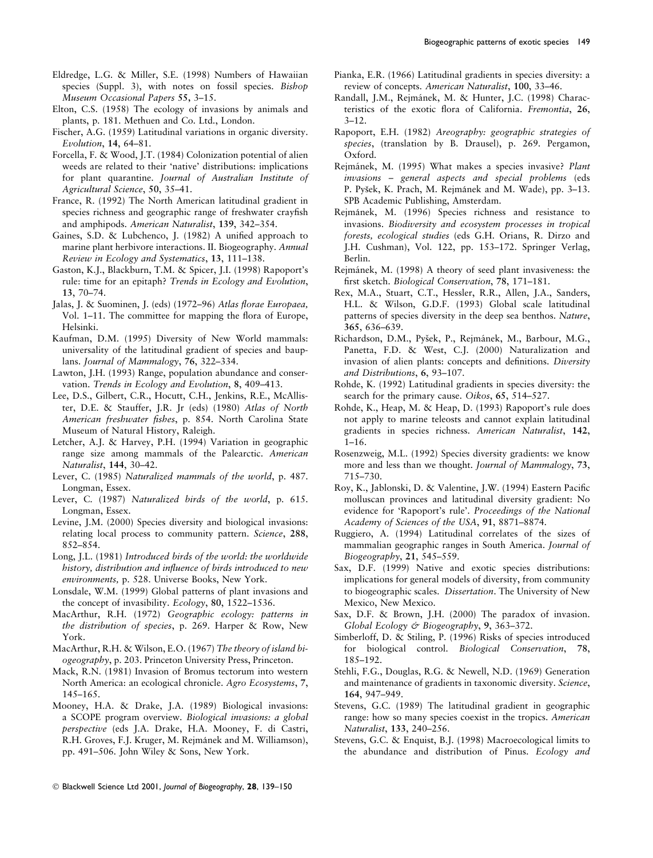- Eldredge, L.G. & Miller, S.E. (1998) Numbers of Hawaiian species (Suppl. 3), with notes on fossil species. Bishop Museum Occasional Papers 55, 3-15.
- Elton, C.S. (1958) The ecology of invasions by animals and plants, p. 181. Methuen and Co. Ltd., London.
- Fischer, A.G. (1959) Latitudinal variations in organic diversity. Evolution, 14, 64-81.
- Forcella, F. & Wood, J.T. (1984) Colonization potential of alien weeds are related to their 'native' distributions: implications for plant quarantine. Journal of Australian Institute of Agricultural Science, 50, 35-41.
- France, R. (1992) The North American latitudinal gradient in species richness and geographic range of freshwater crayfish and amphipods. American Naturalist, 139, 342-354.
- Gaines, S.D. & Lubchenco, J. (1982) A unified approach to marine plant herbivore interactions. II. Biogeography. Annual Review in Ecology and Systematics, 13, 111-138.
- Gaston, K.J., Blackburn, T.M. & Spicer, J.I. (1998) Rapoport's rule: time for an epitaph? Trends in Ecology and Evolution, 13, 70±74.
- Jalas, J. & Suominen, J. (eds) (1972-96) Atlas florae Europaea, Vol. 1-11. The committee for mapping the flora of Europe, Helsinki.
- Kaufman, D.M. (1995) Diversity of New World mammals: universality of the latitudinal gradient of species and bauplans. Journal of Mammalogy,  $76$ ,  $322-334$ .
- Lawton, J.H. (1993) Range, population abundance and conservation. Trends in Ecology and Evolution, 8, 409-413.
- Lee, D.S., Gilbert, C.R., Hocutt, C.H., Jenkins, R.E., McAllister, D.E. & Stauffer, J.R. Jr (eds) (1980) Atlas of North American freshwater fishes, p. 854. North Carolina State Museum of Natural History, Raleigh.
- Letcher, A.J. & Harvey, P.H. (1994) Variation in geographic range size among mammals of the Palearctic. American Naturalist, 144, 30-42.
- Lever, C. (1985) Naturalized mammals of the world, p. 487. Longman, Essex.
- Lever, C. (1987) Naturalized birds of the world, p. 615. Longman, Essex.
- Levine, J.M. (2000) Species diversity and biological invasions: relating local process to community pattern. Science, 288, 852±854.
- Long, J.L. (1981) Introduced birds of the world: the worldwide history, distribution and influence of birds introduced to new environments, p. 528. Universe Books, New York.
- Lonsdale, W.M. (1999) Global patterns of plant invasions and the concept of invasibility.  $Ecology$ , 80, 1522-1536.
- MacArthur, R.H. (1972) Geographic ecology: patterns in the distribution of species, p. 269. Harper & Row, New York.
- MacArthur, R.H. & Wilson, E.O. (1967) The theory of island biogeography, p. 203. Princeton University Press, Princeton.
- Mack, R.N. (1981) Invasion of Bromus tectorum into western North America: an ecological chronicle. Agro Ecosystems, 7, 145±165.
- Mooney, H.A. & Drake, J.A. (1989) Biological invasions: a SCOPE program overview. Biological invasions: a global perspective (eds J.A. Drake, H.A. Mooney, F. di Castri, R.H. Groves, F.J. Kruger, M. Rejmánek and M. Williamson), pp. 491±506. John Wiley & Sons, New York.
- Pianka, E.R. (1966) Latitudinal gradients in species diversity: a review of concepts. American Naturalist, 100, 33-46.
- Randall, J.M., Rejmánek, M. & Hunter, J.C. (1998) Characteristics of the exotic flora of California. Fremontia, 26,  $3 - 12.$
- Rapoport, E.H. (1982) Areography: geographic strategies of species, (translation by B. Drausel), p. 269. Pergamon, Oxford.
- Rejmánek, M. (1995) What makes a species invasive? Plant invasions - general aspects and special problems (eds P. Pyšek, K. Prach, M. Rejmánek and M. Wade), pp. 3–13. SPB Academic Publishing, Amsterdam.
- Rejmánek, M. (1996) Species richness and resistance to invasions. Biodiversity and ecosystem processes in tropical forests, ecological studies (eds G.H. Orians, R. Dirzo and J.H. Cushman), Vol. 122, pp. 153-172. Springer Verlag, Berlin.
- Rejmánek, M. (1998) A theory of seed plant invasiveness: the first sketch. Biological Conservation, 78, 171-181.
- Rex, M.A., Stuart, C.T., Hessler, R.R., Allen, J.A., Sanders, H.L. & Wilson, G.D.F. (1993) Global scale latitudinal patterns of species diversity in the deep sea benthos. Nature, 365, 636-639.
- Richardson, D.M., Pyšek, P., Rejmánek, M., Barbour, M.G., Panetta, F.D. & West, C.J. (2000) Naturalization and invasion of alien plants: concepts and definitions. Diversity and Distributions, 6, 93-107.
- Rohde, K. (1992) Latitudinal gradients in species diversity: the search for the primary cause. Oikos,  $65$ ,  $514-527$ .
- Rohde, K., Heap, M. & Heap, D. (1993) Rapoport's rule does not apply to marine teleosts and cannot explain latitudinal gradients in species richness. American Naturalist, 142,  $1-16.$
- Rosenzweig, M.L. (1992) Species diversity gradients: we know more and less than we thought. Journal of Mammalogy, 73, 715±730.
- Roy, K., Jablonski, D. & Valentine, J.W. (1994) Eastern Pacific molluscan provinces and latitudinal diversity gradient: No evidence for `Rapoport's rule'. Proceedings of the National Academy of Sciences of the USA, 91, 8871-8874.
- Ruggiero, A. (1994) Latitudinal correlates of the sizes of mammalian geographic ranges in South America. Journal of Biogeography, 21, 545-559.
- Sax, D.F. (1999) Native and exotic species distributions: implications for general models of diversity, from community to biogeographic scales. Dissertation. The University of New Mexico, New Mexico.
- Sax, D.F. & Brown, J.H. (2000) The paradox of invasion. Global Ecology & Biogeography,  $9, 363-372$ .
- Simberloff, D. & Stiling, P. (1996) Risks of species introduced for biological control. Biological Conservation, 78, 185±192.
- Stehli, F.G., Douglas, R.G. & Newell, N.D. (1969) Generation and maintenance of gradients in taxonomic diversity. Science, 164, 947±949.
- Stevens, G.C. (1989) The latitudinal gradient in geographic range: how so many species coexist in the tropics. American Naturalist, 133, 240-256.
- Stevens, G.C. & Enquist, B.J. (1998) Macroecological limits to the abundance and distribution of Pinus. Ecology and
- © Blackwell Science Ltd 2001, Journal of Biogeography, 28, 139-150